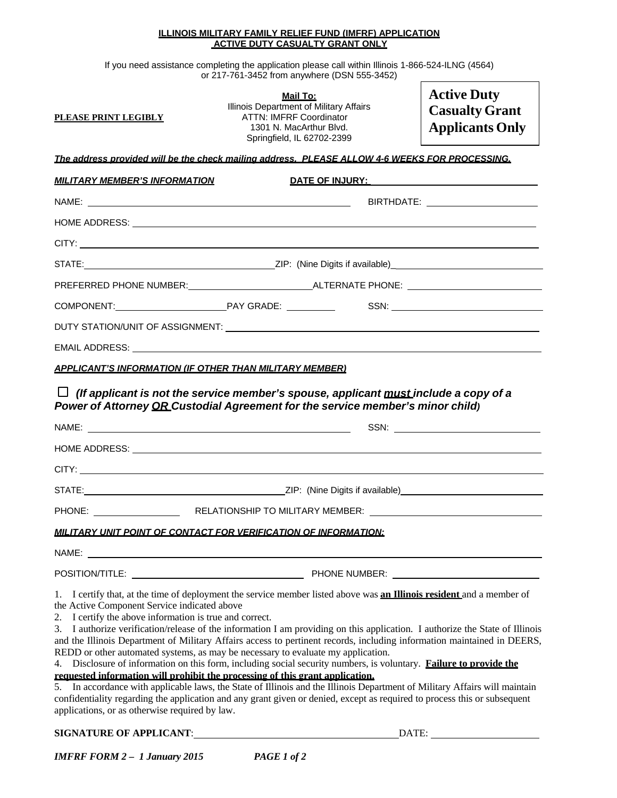## **ILLINOIS MILITARY FAMILY RELIEF FUND (IMFRF) APPLICATION ACTIVE DUTY CASUALTY GRANT ONLY**

If you need assistance completing the application please call within Illinois 1-866-524-ILNG (4564) or 217-761-3452 from anywhere (DSN 555-3452)

| PLEASE PRINT LEGIBLY                                                                                                                                                                                                                 | <u>Mail To:</u><br>Illinois Department of Military Affairs<br><b>ATTN: IMFRF Coordinator</b><br>1301 N. MacArthur Blvd.<br>Springfield, IL 62702-2399                                                                                                                                                                                                                                                                                                                                                                                                                                                                                                                                                                                                                                                            | <b>Active Duty</b><br><b>Casualty Grant</b><br><b>Applicants Only</b> |
|--------------------------------------------------------------------------------------------------------------------------------------------------------------------------------------------------------------------------------------|------------------------------------------------------------------------------------------------------------------------------------------------------------------------------------------------------------------------------------------------------------------------------------------------------------------------------------------------------------------------------------------------------------------------------------------------------------------------------------------------------------------------------------------------------------------------------------------------------------------------------------------------------------------------------------------------------------------------------------------------------------------------------------------------------------------|-----------------------------------------------------------------------|
|                                                                                                                                                                                                                                      | The address provided will be the check mailing address. PLEASE ALLOW 4-6 WEEKS FOR PROCESSING.                                                                                                                                                                                                                                                                                                                                                                                                                                                                                                                                                                                                                                                                                                                   |                                                                       |
| <u>MILITARY MEMBER'S INFORMATION</u>                                                                                                                                                                                                 | DATE OF INJURY: North and the contract of the contract of the contract of the contract of the contract of the contract of the contract of the contract of the contract of the contract of the contract of the contract of the                                                                                                                                                                                                                                                                                                                                                                                                                                                                                                                                                                                    |                                                                       |
|                                                                                                                                                                                                                                      | BIRTHDATE: _________________________                                                                                                                                                                                                                                                                                                                                                                                                                                                                                                                                                                                                                                                                                                                                                                             |                                                                       |
|                                                                                                                                                                                                                                      |                                                                                                                                                                                                                                                                                                                                                                                                                                                                                                                                                                                                                                                                                                                                                                                                                  |                                                                       |
|                                                                                                                                                                                                                                      |                                                                                                                                                                                                                                                                                                                                                                                                                                                                                                                                                                                                                                                                                                                                                                                                                  |                                                                       |
|                                                                                                                                                                                                                                      |                                                                                                                                                                                                                                                                                                                                                                                                                                                                                                                                                                                                                                                                                                                                                                                                                  |                                                                       |
|                                                                                                                                                                                                                                      |                                                                                                                                                                                                                                                                                                                                                                                                                                                                                                                                                                                                                                                                                                                                                                                                                  |                                                                       |
|                                                                                                                                                                                                                                      |                                                                                                                                                                                                                                                                                                                                                                                                                                                                                                                                                                                                                                                                                                                                                                                                                  | SSN: William Commission Commission                                    |
|                                                                                                                                                                                                                                      |                                                                                                                                                                                                                                                                                                                                                                                                                                                                                                                                                                                                                                                                                                                                                                                                                  |                                                                       |
|                                                                                                                                                                                                                                      |                                                                                                                                                                                                                                                                                                                                                                                                                                                                                                                                                                                                                                                                                                                                                                                                                  |                                                                       |
| □                                                                                                                                                                                                                                    | (If applicant is not the service member's spouse, applicant must include a copy of a<br>Power of Attorney OR Custodial Agreement for the service member's minor child)                                                                                                                                                                                                                                                                                                                                                                                                                                                                                                                                                                                                                                           |                                                                       |
|                                                                                                                                                                                                                                      |                                                                                                                                                                                                                                                                                                                                                                                                                                                                                                                                                                                                                                                                                                                                                                                                                  |                                                                       |
|                                                                                                                                                                                                                                      |                                                                                                                                                                                                                                                                                                                                                                                                                                                                                                                                                                                                                                                                                                                                                                                                                  |                                                                       |
|                                                                                                                                                                                                                                      | STATE: STATE: STATE: STATE: STATE: STATE: STATE: STATE: STATE: STATE: STATE: STATE: STATE: STATE: STATE: STATE: STATE: STATE: STATE: STATE: STATE: STATE: STATE: STATE: STATE: STATE: STATE: STATE: STATE: STATE: STATE: STATE                                                                                                                                                                                                                                                                                                                                                                                                                                                                                                                                                                                   |                                                                       |
|                                                                                                                                                                                                                                      | PHONE: RELATIONSHIP TO MILITARY MEMBER: LATINUMENT COMPONENT COMPONENT COMPONENT COMPONENT COMPONENT COMPONENT                                                                                                                                                                                                                                                                                                                                                                                                                                                                                                                                                                                                                                                                                                   |                                                                       |
|                                                                                                                                                                                                                                      | MILITARY UNIT POINT OF CONTACT FOR VERIFICATION OF INFORMATION:                                                                                                                                                                                                                                                                                                                                                                                                                                                                                                                                                                                                                                                                                                                                                  |                                                                       |
| NAME: <u>www.community.com and a series of the series of the series of the series of the series of the series of the series of the series of the series of the series of the series of the series of the series of the series of</u> |                                                                                                                                                                                                                                                                                                                                                                                                                                                                                                                                                                                                                                                                                                                                                                                                                  |                                                                       |
|                                                                                                                                                                                                                                      |                                                                                                                                                                                                                                                                                                                                                                                                                                                                                                                                                                                                                                                                                                                                                                                                                  |                                                                       |
| the Active Component Service indicated above<br>2. I certify the above information is true and correct.                                                                                                                              | 1. I certify that, at the time of deployment the service member listed above was <b>an Illinois resident</b> and a member of<br>3. I authorize verification/release of the information I am providing on this application. I authorize the State of Illinois<br>and the Illinois Department of Military Affairs access to pertinent records, including information maintained in DEERS,<br>REDD or other automated systems, as may be necessary to evaluate my application.<br>4. Disclosure of information on this form, including social security numbers, is voluntary. Failure to provide the<br>requested information will prohibit the processing of this grant application.<br>5. In accordance with applicable laws, the State of Illinois and the Illinois Department of Military Affairs will maintain |                                                                       |

confidentiality regarding the application and any grant given or denied, except as required to process this or subsequent applications, or as otherwise required by law.

## **SIGNATURE OF APPLICANT**: DATE: